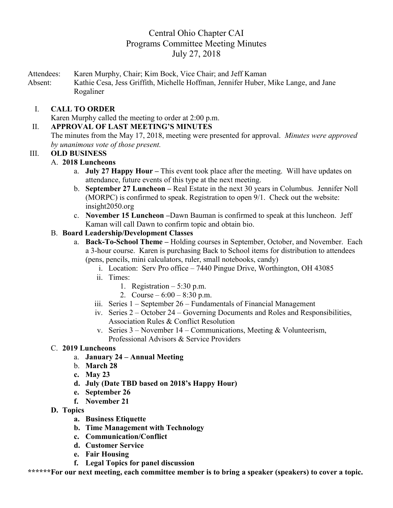# Central Ohio Chapter CAI Programs Committee Meeting Minutes July 27, 2018

Attendees: Karen Murphy, Chair; Kim Bock, Vice Chair; and Jeff Kaman Absent: Kathie Cesa, Jess Griffith, Michelle Hoffman, Jennifer Huber, Mike Lange, and Jane Rogaliner

## I. **CALL TO ORDER**

Karen Murphy called the meeting to order at 2:00 p.m.

## II. **APPROVAL OF LAST MEETING'S MINUTES**

The minutes from the May 17, 2018, meeting were presented for approval. *Minutes were approved by unanimous vote of those present.*

### III. **OLD BUSINESS**

## A. **2018 Luncheons**

- a. **July 27 Happy Hour –** This event took place after the meeting. Will have updates on attendance, future events of this type at the next meeting.
- b. **September 27 Luncheon –** Real Estate in the next 30 years in Columbus. Jennifer Noll (MORPC) is confirmed to speak. Registration to open 9/1. Check out the website: insight2050.org
- c. **November 15 Luncheon –**Dawn Bauman is confirmed to speak at this luncheon. Jeff Kaman will call Dawn to confirm topic and obtain bio.

## B. **Board Leadership/Development Classes**

- a. **Back-To-School Theme –** Holding courses in September, October, and November. Each a 3-hour course. Karen is purchasing Back to School items for distribution to attendees (pens, pencils, mini calculators, ruler, small notebooks, candy)
	- i. Location: Serv Pro office 7440 Pingue Drive, Worthington, OH 43085
	- ii. Times:
		- 1. Registration  $-5:30$  p.m.
		- 2. Course  $6:00 8:30$  p.m.
	- iii. Series 1 September 26 Fundamentals of Financial Management
	- iv. Series 2 October 24 Governing Documents and Roles and Responsibilities, Association Rules & Conflict Resolution
	- v. Series  $3$  November 14 Communications, Meeting & Volunteerism, Professional Advisors & Service Providers

### C. **2019 Luncheons**

- a. **January 24 – Annual Meeting**
- b. **March 28**
- **c. May 23**
- **d. July (Date TBD based on 2018's Happy Hour)**
- **e. September 26**
- **f. November 21**
- **D. Topics**
	- **a. Business Etiquette**
	- **b. Time Management with Technology**
	- **c. Communication/Conflict**
	- **d. Customer Service**
	- **e. Fair Housing**
	- **f. Legal Topics for panel discussion**

**\*\*\*\*\*\*For our next meeting, each committee member is to bring a speaker (speakers) to cover a topic.**